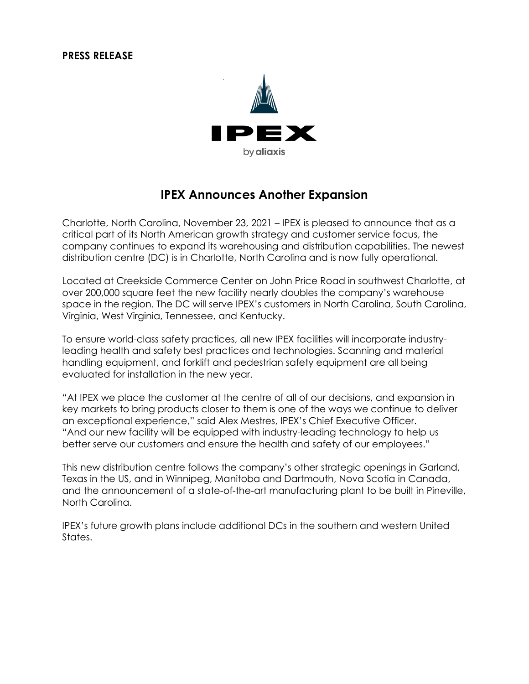## **PRESS RELEASE**



## **IPEX Announces Another Expansion**

Charlotte, North Carolina, November 23, 2021 – IPEX is pleased to announce that as a critical part of its North American growth strategy and customer service focus, the company continues to expand its warehousing and distribution capabilities. The newest distribution centre (DC) is in Charlotte, North Carolina and is now fully operational.

Located at Creekside Commerce Center on John Price Road in southwest Charlotte, at over 200,000 square feet the new facility nearly doubles the company's warehouse space in the region. The DC will serve IPEX's customers in North Carolina, South Carolina, Virginia, West Virginia, Tennessee, and Kentucky.

To ensure world-class safety practices, all new IPEX facilities will incorporate industryleading health and safety best practices and technologies. Scanning and material handling equipment, and forklift and pedestrian safety equipment are all being evaluated for installation in the new year.

"At IPEX we place the customer at the centre of all of our decisions, and expansion in key markets to bring products closer to them is one of the ways we continue to deliver an exceptional experience," said Alex Mestres, IPEX's Chief Executive Officer. "And our new facility will be equipped with industry-leading technology to help us better serve our customers and ensure the health and safety of our employees."

This new distribution centre follows the company's other strategic openings in Garland, Texas in the US, and in Winnipeg, Manitoba and Dartmouth, Nova Scotia in Canada, and the announcement of a state-of-the-art manufacturing plant to be built in Pineville, North Carolina.

IPEX's future growth plans include additional DCs in the southern and western United States.